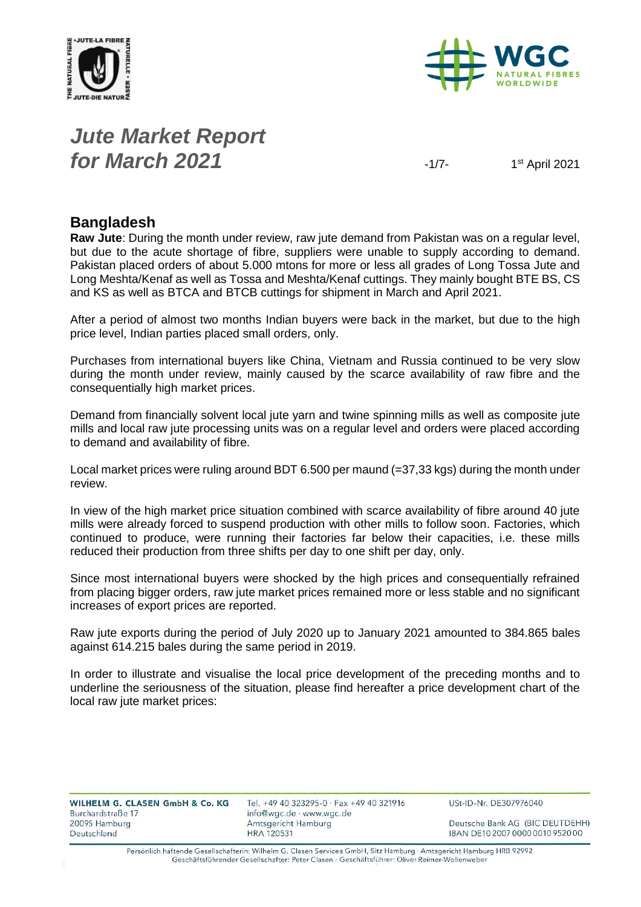



# *Jute Market Report for March* **2021**  $\frac{1}{7}$

1st April 2021

#### **Bangladesh**

**Raw Jute**: During the month under review, raw jute demand from Pakistan was on a regular level, but due to the acute shortage of fibre, suppliers were unable to supply according to demand. Pakistan placed orders of about 5.000 mtons for more or less all grades of Long Tossa Jute and Long Meshta/Kenaf as well as Tossa and Meshta/Kenaf cuttings. They mainly bought BTE BS, CS and KS as well as BTCA and BTCB cuttings for shipment in March and April 2021.

After a period of almost two months Indian buyers were back in the market, but due to the high price level, Indian parties placed small orders, only.

Purchases from international buyers like China, Vietnam and Russia continued to be very slow during the month under review, mainly caused by the scarce availability of raw fibre and the consequentially high market prices.

Demand from financially solvent local jute yarn and twine spinning mills as well as composite jute mills and local raw jute processing units was on a regular level and orders were placed according to demand and availability of fibre.

Local market prices were ruling around BDT 6.500 per maund (=37,33 kgs) during the month under review.

In view of the high market price situation combined with scarce availability of fibre around 40 jute mills were already forced to suspend production with other mills to follow soon. Factories, which continued to produce, were running their factories far below their capacities, i.e. these mills reduced their production from three shifts per day to one shift per day, only.

Since most international buyers were shocked by the high prices and consequentially refrained from placing bigger orders, raw jute market prices remained more or less stable and no significant increases of export prices are reported.

Raw jute exports during the period of July 2020 up to January 2021 amounted to 384.865 bales against 614.215 bales during the same period in 2019.

In order to illustrate and visualise the local price development of the preceding months and to underline the seriousness of the situation, please find hereafter a price development chart of the local raw jute market prices:

| <b>WILHELM G. CLASEN GmbH &amp; Co. KG</b> |  |  |  |
|--------------------------------------------|--|--|--|
| Burchardstraße 17                          |  |  |  |
| 20095 Hamburg                              |  |  |  |
| Deutschland                                |  |  |  |

Tel. +49 40 323295-0 · Fax +49 40 321916 info@wgc.de · www.wgc.de Amtsgericht Hamburg **HRA 120531** 

USt-ID-Nr. DE307976040

Deutsche Bank AG (BIC DEUTDEHH) IBAN DE10 2007 0000 0010 9520 00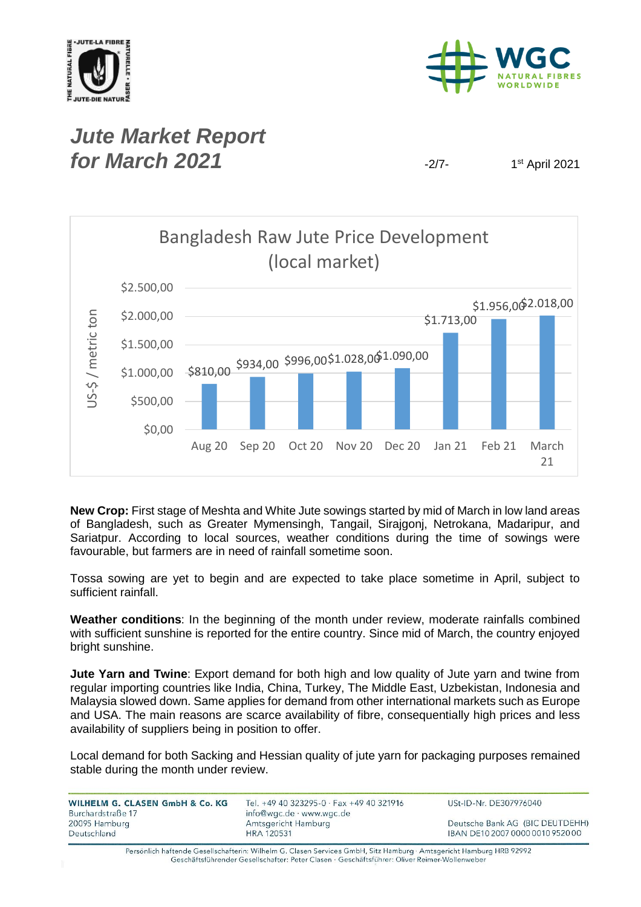



#### *Jute Market Report for March* **2021**  $\frac{1}{27}$

1st April 2021



**New Crop:** First stage of Meshta and White Jute sowings started by mid of March in low land areas of Bangladesh, such as Greater Mymensingh, Tangail, Sirajgonj, Netrokana, Madaripur, and Sariatpur. According to local sources, weather conditions during the time of sowings were favourable, but farmers are in need of rainfall sometime soon.

Tossa sowing are yet to begin and are expected to take place sometime in April, subject to sufficient rainfall.

**Weather conditions**: In the beginning of the month under review, moderate rainfalls combined with sufficient sunshine is reported for the entire country. Since mid of March, the country enjoyed bright sunshine.

**Jute Yarn and Twine**: Export demand for both high and low quality of Jute yarn and twine from regular importing countries like India, China, Turkey, The Middle East, Uzbekistan, Indonesia and Malaysia slowed down. Same applies for demand from other international markets such as Europe and USA. The main reasons are scarce availability of fibre, consequentially high prices and less availability of suppliers being in position to offer.

Local demand for both Sacking and Hessian quality of jute yarn for packaging purposes remained stable during the month under review.

| WILHELM G. CLASEN GmbH & Co. KG<br>Burchardstraße 17 | Tel. +49 40 323295-0 $\cdot$ Fax +49 40 321916<br>info@wgc.de · www.wgc.de | USt-ID-Nr. DE307976040           |  |  |
|------------------------------------------------------|----------------------------------------------------------------------------|----------------------------------|--|--|
| 20095 Hamburg                                        | Amtsgericht Hamburg                                                        | Deutsche Bank AG (BIC DEUTDEHH)  |  |  |
| Deutschland                                          | <b>HRA 120531</b>                                                          | IBAN DE10 2007 0000 0010 9520 00 |  |  |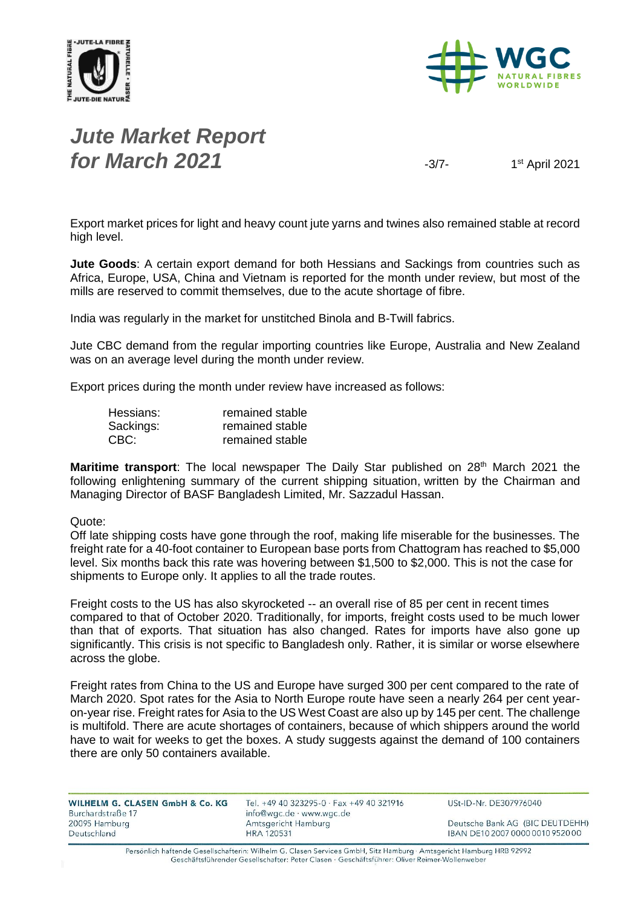



# *Jute Market Report for March* **2021**  $\frac{3}{7}$

1st April 2021

Export market prices for light and heavy count jute yarns and twines also remained stable at record high level.

**Jute Goods**: A certain export demand for both Hessians and Sackings from countries such as Africa, Europe, USA, China and Vietnam is reported for the month under review, but most of the mills are reserved to commit themselves, due to the acute shortage of fibre.

India was regularly in the market for unstitched Binola and B-Twill fabrics.

Jute CBC demand from the regular importing countries like Europe, Australia and New Zealand was on an average level during the month under review.

Export prices during the month under review have increased as follows:

| Hessians: | remained stable |
|-----------|-----------------|
| Sackings: | remained stable |
| CBC:      | remained stable |

**Maritime transport**: The local newspaper The Daily Star published on 28<sup>th</sup> March 2021 the following enlightening summary of the current shipping situation, written by the Chairman and Managing Director of BASF Bangladesh Limited, Mr. Sazzadul Hassan.

#### Quote:

Off late shipping costs have gone through the roof, making life miserable for the businesses. The freight rate for a 40-foot container to European base ports from Chattogram has reached to \$5,000 level. Six months back this rate was hovering between \$1,500 to \$2,000. This is not the case for shipments to Europe only. It applies to all the trade routes.

Freight costs to the US has also skyrocketed -- an overall rise of 85 per cent in recent times compared to that of October 2020. Traditionally, for imports, freight costs used to be much lower than that of exports. That situation has also changed. Rates for imports have also gone up significantly. This crisis is not specific to Bangladesh only. Rather, it is similar or worse elsewhere across the globe.

Freight rates from China to the US and Europe have surged 300 per cent compared to the rate of March 2020. Spot rates for the Asia to North Europe route have seen a nearly 264 per cent yearon-year rise. Freight rates for Asia to the US West Coast are also up by 145 per cent. The challenge is multifold. There are acute shortages of containers, because of which shippers around the world have to wait for weeks to get the boxes. A study suggests against the demand of 100 containers there are only 50 containers available.

| WILHELM G. CLASEN GmbH & Co. KG | Tel. +49 40 323295-0 · Fax +49 40 321916 | USt-ID-Nr. DE307976040           |
|---------------------------------|------------------------------------------|----------------------------------|
| Burchardstraße 17               | info@wgc.de · www.wgc.de                 |                                  |
| 20095 Hamburg                   | Amtsgericht Hamburg                      | Deutsche Bank AG (BIC DEUTDEHH)  |
| Deutschland                     | <b>HRA 120531</b>                        | IBAN DE10 2007 0000 0010 9520 00 |
|                                 |                                          |                                  |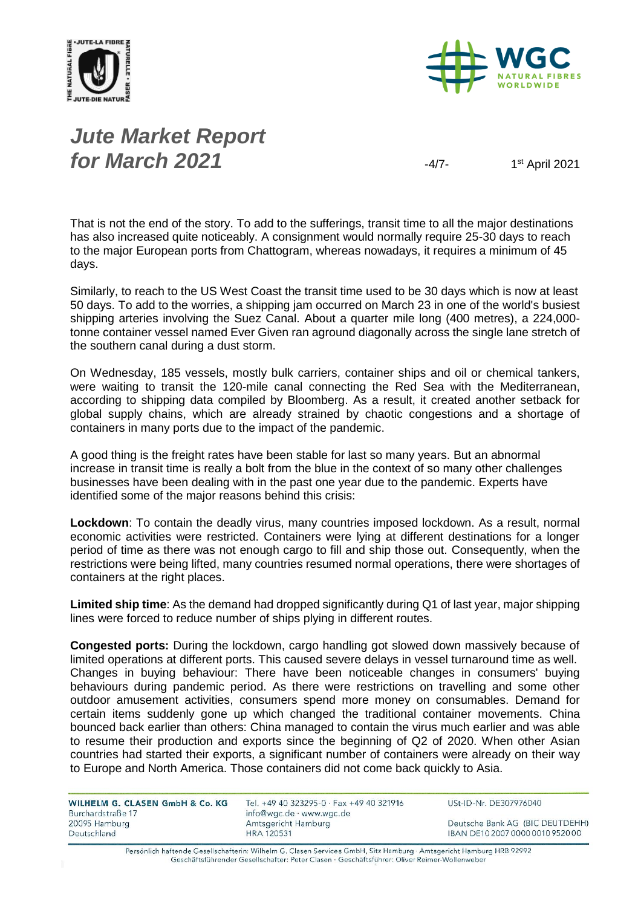



# *Jute Market Report for March* **2021**  $\frac{4}{7}$

1st April 2021

That is not the end of the story. To add to the sufferings, transit time to all the major destinations has also increased quite noticeably. A consignment would normally require 25-30 days to reach to the major European ports from Chattogram, whereas nowadays, it requires a minimum of 45 days.

Similarly, to reach to the US West Coast the transit time used to be 30 days which is now at least 50 days. To add to the worries, a shipping jam occurred on March 23 in one of the world's busiest shipping arteries involving the Suez Canal. About a quarter mile long (400 metres), a 224,000 tonne container vessel named Ever Given ran aground diagonally across the single lane stretch of the southern canal during a dust storm.

On Wednesday, 185 vessels, mostly bulk carriers, container ships and oil or chemical tankers, were waiting to transit the 120-mile canal connecting the Red Sea with the Mediterranean, according to shipping data compiled by Bloomberg. As a result, it created another setback for global supply chains, which are already strained by chaotic congestions and a shortage of containers in many ports due to the impact of the pandemic.

A good thing is the freight rates have been stable for last so many years. But an abnormal increase in transit time is really a bolt from the blue in the context of so many other challenges businesses have been dealing with in the past one year due to the pandemic. Experts have identified some of the major reasons behind this crisis:

**Lockdown**: To contain the deadly virus, many countries imposed lockdown. As a result, normal economic activities were restricted. Containers were lying at different destinations for a longer period of time as there was not enough cargo to fill and ship those out. Consequently, when the restrictions were being lifted, many countries resumed normal operations, there were shortages of containers at the right places.

**Limited ship time**: As the demand had dropped significantly during Q1 of last year, major shipping lines were forced to reduce number of ships plying in different routes.

**Congested ports:** During the lockdown, cargo handling got slowed down massively because of limited operations at different ports. This caused severe delays in vessel turnaround time as well. Changes in buying behaviour: There have been noticeable changes in consumers' buying behaviours during pandemic period. As there were restrictions on travelling and some other outdoor amusement activities, consumers spend more money on consumables. Demand for certain items suddenly gone up which changed the traditional container movements. China bounced back earlier than others: China managed to contain the virus much earlier and was able to resume their production and exports since the beginning of Q2 of 2020. When other Asian countries had started their exports, a significant number of containers were already on their way to Europe and North America. Those containers did not come back quickly to Asia.

| WILHELM G. CLASEN GmbH & Co. KG |  |  |  |
|---------------------------------|--|--|--|
| Burchardstraße 17               |  |  |  |
| 20095 Hamburg                   |  |  |  |
| Deutschland                     |  |  |  |

Tel. +49 40 323295-0 · Fax +49 40 321916 info@wgc.de · www.wgc.de Amtsgericht Hamburg **HRA 120531** 

USt-ID-Nr. DE307976040

Deutsche Bank AG (BIC DEUTDEHH) IBAN DE10 2007 0000 0010 9520 00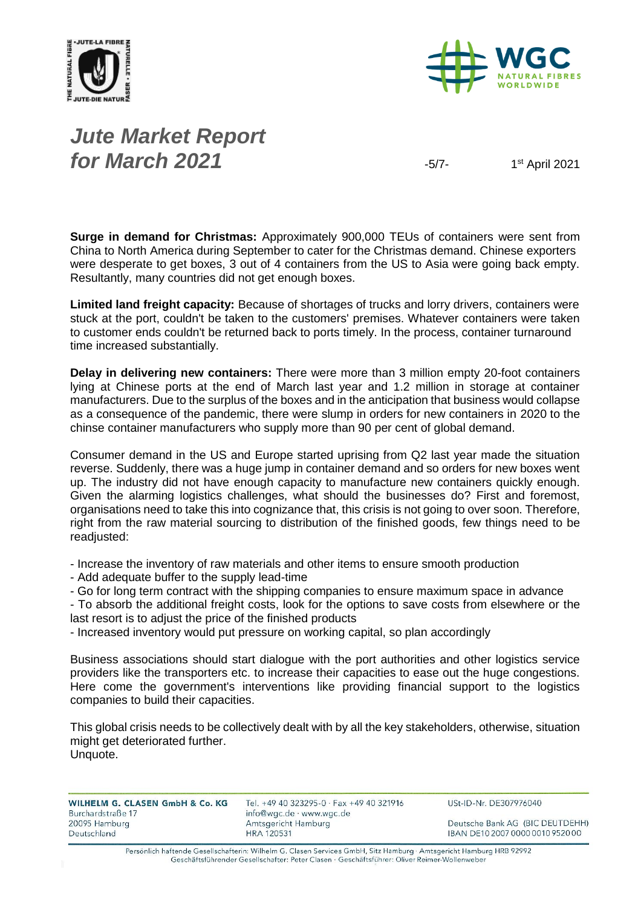



# *Jute Market Report for March* **2021**  $\frac{1}{2}$

1<sup>st</sup> April 2021

**Surge in demand for Christmas:** Approximately 900,000 TEUs of containers were sent from China to North America during September to cater for the Christmas demand. Chinese exporters were desperate to get boxes, 3 out of 4 containers from the US to Asia were going back empty. Resultantly, many countries did not get enough boxes.

**Limited land freight capacity:** Because of shortages of trucks and lorry drivers, containers were stuck at the port, couldn't be taken to the customers' premises. Whatever containers were taken to customer ends couldn't be returned back to ports timely. In the process, container turnaround time increased substantially.

**Delay in delivering new containers:** There were more than 3 million empty 20-foot containers lying at Chinese ports at the end of March last year and 1.2 million in storage at container manufacturers. Due to the surplus of the boxes and in the anticipation that business would collapse as a consequence of the pandemic, there were slump in orders for new containers in 2020 to the chinse container manufacturers who supply more than 90 per cent of global demand.

Consumer demand in the US and Europe started uprising from Q2 last year made the situation reverse. Suddenly, there was a huge jump in container demand and so orders for new boxes went up. The industry did not have enough capacity to manufacture new containers quickly enough. Given the alarming logistics challenges, what should the businesses do? First and foremost, organisations need to take this into cognizance that, this crisis is not going to over soon. Therefore, right from the raw material sourcing to distribution of the finished goods, few things need to be readjusted:

- Increase the inventory of raw materials and other items to ensure smooth production

- Add adequate buffer to the supply lead-time

- Go for long term contract with the shipping companies to ensure maximum space in advance

- To absorb the additional freight costs, look for the options to save costs from elsewhere or the last resort is to adjust the price of the finished products

- Increased inventory would put pressure on working capital, so plan accordingly

Business associations should start dialogue with the port authorities and other logistics service providers like the transporters etc. to increase their capacities to ease out the huge congestions. Here come the government's interventions like providing financial support to the logistics companies to build their capacities.

This global crisis needs to be collectively dealt with by all the key stakeholders, otherwise, situation might get deteriorated further. Unquote.

| WILHELM G. CLASEN GmbH & Co. KG | Tel. +49 40 323295-0 $\cdot$ Fax +49 40 321916 | USt-ID-Nr. DE307976040           |
|---------------------------------|------------------------------------------------|----------------------------------|
| Burchardstraße 17               | info@wgc.de · www.wgc.de                       |                                  |
| 20095 Hamburg                   | Amtsgericht Hamburg                            | Deutsche Bank AG (BIC DEUTDEHH)  |
| Deutschland                     | <b>HRA 120531</b>                              | IBAN DE10 2007 0000 0010 9520 00 |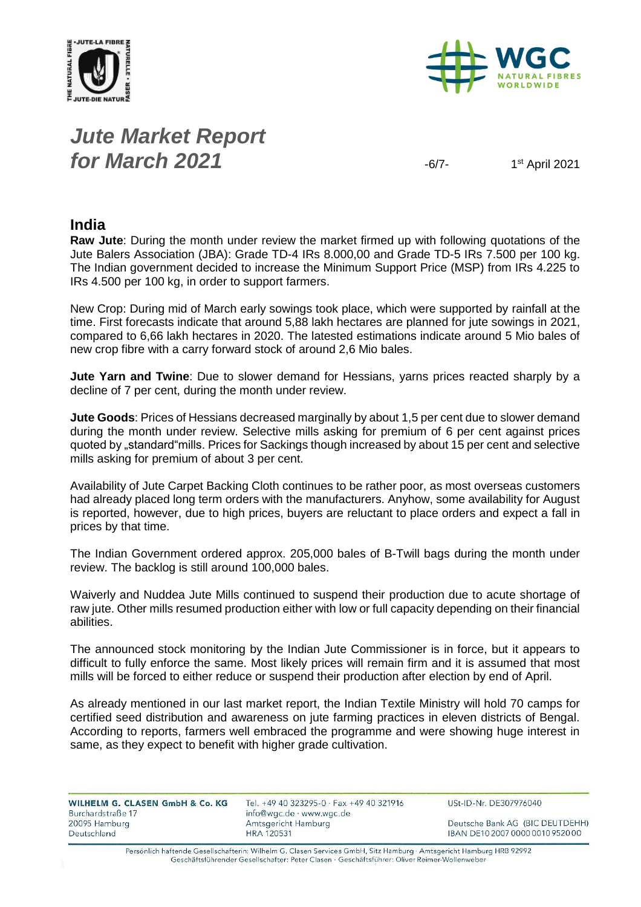



# *Jute Market Report for March* **2021**  $-6/7$

1st April 2021

#### **India**

**Raw Jute**: During the month under review the market firmed up with following quotations of the Jute Balers Association (JBA): Grade TD-4 IRs 8.000,00 and Grade TD-5 IRs 7.500 per 100 kg. The Indian government decided to increase the Minimum Support Price (MSP) from IRs 4.225 to IRs 4.500 per 100 kg, in order to support farmers.

New Crop: During mid of March early sowings took place, which were supported by rainfall at the time. First forecasts indicate that around 5,88 lakh hectares are planned for jute sowings in 2021, compared to 6,66 lakh hectares in 2020. The latested estimations indicate around 5 Mio bales of new crop fibre with a carry forward stock of around 2,6 Mio bales.

**Jute Yarn and Twine**: Due to slower demand for Hessians, yarns prices reacted sharply by a decline of 7 per cent, during the month under review.

**Jute Goods**: Prices of Hessians decreased marginally by about 1,5 per cent due to slower demand during the month under review. Selective mills asking for premium of 6 per cent against prices quoted by "standard"mills. Prices for Sackings though increased by about 15 per cent and selective mills asking for premium of about 3 per cent.

Availability of Jute Carpet Backing Cloth continues to be rather poor, as most overseas customers had already placed long term orders with the manufacturers. Anyhow, some availability for August is reported, however, due to high prices, buyers are reluctant to place orders and expect a fall in prices by that time.

The Indian Government ordered approx. 205,000 bales of B-Twill bags during the month under review. The backlog is still around 100,000 bales.

Waiverly and Nuddea Jute Mills continued to suspend their production due to acute shortage of raw jute. Other mills resumed production either with low or full capacity depending on their financial abilities.

The announced stock monitoring by the Indian Jute Commissioner is in force, but it appears to difficult to fully enforce the same. Most likely prices will remain firm and it is assumed that most mills will be forced to either reduce or suspend their production after election by end of April.

As already mentioned in our last market report, the Indian Textile Ministry will hold 70 camps for certified seed distribution and awareness on jute farming practices in eleven districts of Bengal. According to reports, farmers well embraced the programme and were showing huge interest in same, as they expect to benefit with higher grade cultivation.

| WILHELM G. CLASEN GmbH & Co. KG | Tel. +49 40 323295-0 $\cdot$ Fax +49 40 321916 | USt-ID-Nr. DE307976040           |
|---------------------------------|------------------------------------------------|----------------------------------|
| Burchardstraße 17               | info@wgc.de · www.wgc.de                       |                                  |
| 20095 Hamburg                   | Amtsgericht Hamburg                            | Deutsche Bank AG (BIC DEUTDEHH)  |
| Deutschland                     | <b>HRA 120531</b>                              | IBAN DE10 2007 0000 0010 9520 00 |